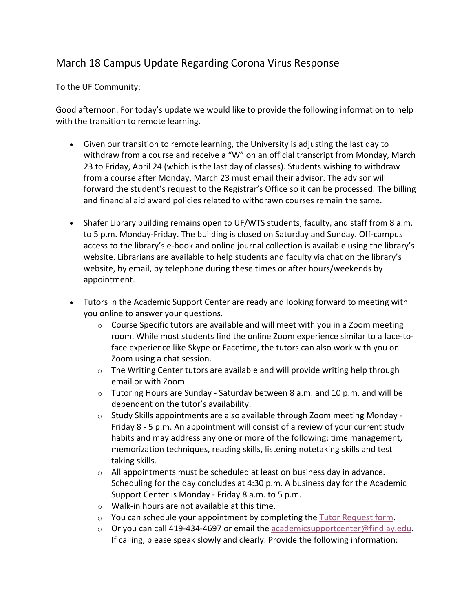## March 18 Campus Update Regarding Corona Virus Response

To the UF Community:

Good afternoon. For today's update we would like to provide the following information to help with the transition to remote learning.

- Given our transition to remote learning, the University is adjusting the last day to withdraw from a course and receive a "W" on an official transcript from Monday, March 23 to Friday, April 24 (which is the last day of classes). Students wishing to withdraw from a course after Monday, March 23 must email their advisor. The advisor will forward the student's request to the Registrar's Office so it can be processed. The billing and financial aid award policies related to withdrawn courses remain the same.
- Shafer Library building remains open to UF/WTS students, faculty, and staff from 8 a.m. to 5 p.m. Monday-Friday. The building is closed on Saturday and Sunday. Off-campus access to the library's e-book and online journal collection is available using the library's website. Librarians are available to help students and faculty via chat on the library's website, by email, by telephone during these times or after hours/weekends by appointment.
- Tutors in the Academic Support Center are ready and looking forward to meeting with you online to answer your questions.
	- $\circ$  Course Specific tutors are available and will meet with you in a Zoom meeting room. While most students find the online Zoom experience similar to a face-toface experience like Skype or Facetime, the tutors can also work with you on Zoom using a chat session.
	- $\circ$  The Writing Center tutors are available and will provide writing help through email or with Zoom.
	- $\circ$  Tutoring Hours are Sunday Saturday between 8 a.m. and 10 p.m. and will be dependent on the tutor's availability.
	- $\circ$  Study Skills appointments are also available through Zoom meeting Monday -Friday 8 - 5 p.m. An appointment will consist of a review of your current study habits and may address any one or more of the following: time management, memorization techniques, reading skills, listening notetaking skills and test taking skills.
	- o All appointments must be scheduled at least on business day in advance. Scheduling for the day concludes at 4:30 p.m. A business day for the Academic Support Center is Monday - Friday 8 a.m. to 5 p.m.
	- o Walk-in hours are not available at this time.
	- $\circ$  You can schedule your appointment by completing the Tutor Request form.
	- $\circ$  Or you can call 419-434-4697 or email the academicsupportcenter@findlay.edu. If calling, please speak slowly and clearly. Provide the following information: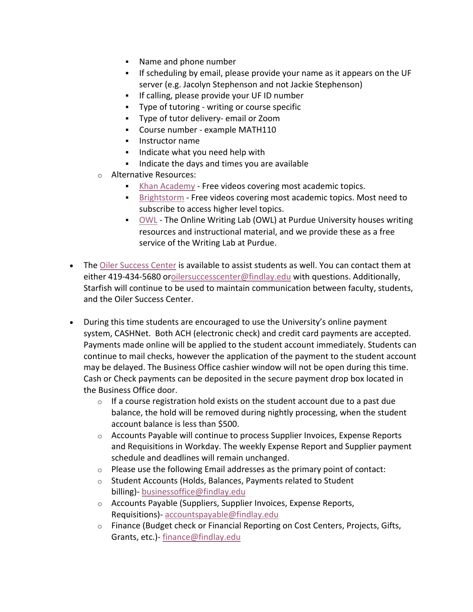- § Name and phone number
- § If scheduling by email, please provide your name as it appears on the UF server (e.g. Jacolyn Stephenson and not Jackie Stephenson)
- **•** If calling, please provide your UF ID number
- § Type of tutoring writing or course specific
- § Type of tutor delivery- email or Zoom
- § Course number example MATH110
- § Instructor name
- Indicate what you need help with
- **•** Indicate the days and times you are available
- o Alternative Resources:
	- Khan Academy Free videos covering most academic topics.
	- **•** Brightstorm Free videos covering most academic topics. Most need to subscribe to access higher level topics.
	- § OWL The Online Writing Lab (OWL) at Purdue University houses writing resources and instructional material, and we provide these as a free service of the Writing Lab at Purdue.
- The Oiler Success Center is available to assist students as well. You can contact them at either 419-434-5680 oroilersuccesscenter@findlay.edu with questions. Additionally, Starfish will continue to be used to maintain communication between faculty, students, and the Oiler Success Center.
- During this time students are encouraged to use the University's online payment system, CASHNet. Both ACH (electronic check) and credit card payments are accepted. Payments made online will be applied to the student account immediately. Students can continue to mail checks, however the application of the payment to the student account may be delayed. The Business Office cashier window will not be open during this time. Cash or Check payments can be deposited in the secure payment drop box located in the Business Office door.
	- $\circ$  If a course registration hold exists on the student account due to a past due balance, the hold will be removed during nightly processing, when the student account balance is less than \$500.
	- o Accounts Payable will continue to process Supplier Invoices, Expense Reports and Requisitions in Workday. The weekly Expense Report and Supplier payment schedule and deadlines will remain unchanged.
	- o Please use the following Email addresses as the primary point of contact:
	- o Student Accounts (Holds, Balances, Payments related to Student billing)- businessoffice@findlay.edu
	- o Accounts Payable (Suppliers, Supplier Invoices, Expense Reports, Requisitions)- accountspayable@findlay.edu
	- o Finance (Budget check or Financial Reporting on Cost Centers, Projects, Gifts, Grants, etc.)- finance@findlay.edu